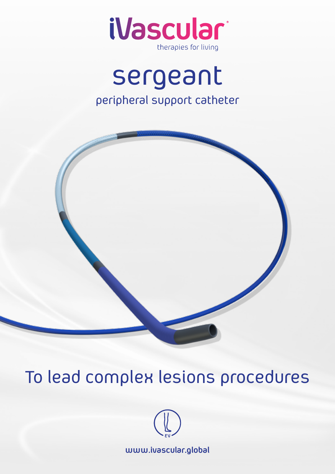

# sergeant peripheral support catheter



# To lead complex lesions procedures